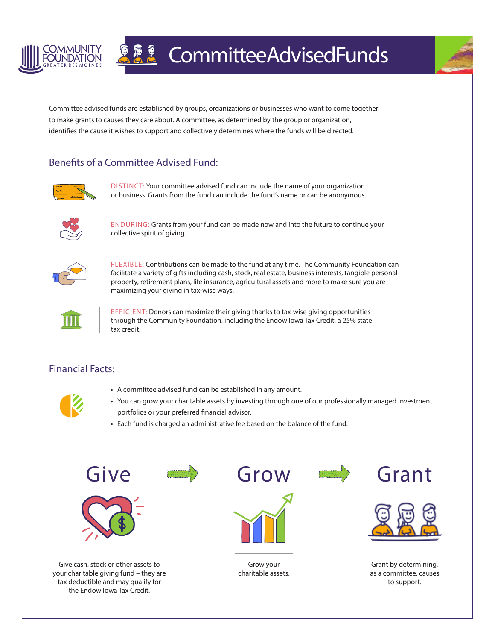

## **A & Committee Advised Funds**



Committee advised funds are established by groups, organizations or businesses who want to come together to make grants to causes they care about. A committee, as determined by the group or organization, identifies the cause it wishes to support and collectively determines where the funds will be directed.

## Benefits of a Committee Advised Fund:



DISTINCT: Your committee advised fund can include the name of your organization or business. Grants from the fund can include the fund's name or can be anonymous.



ENDURING: Grants from your fund can be made now and into the future to continue your collective spirit of giving.



FLEXIBLE: Contributions can be made to the fund at any time. The Community Foundation can facilitate a variety of gifts including cash, stock, real estate, business interests, tangible personal property, retirement plans, life insurance, agricultural assets and more to make sure you are maximizing your giving in tax-wise ways.



EFFICIENT: Donors can maximize their giving thanks to tax-wise giving opportunities through the Community Foundation, including the Endow Iowa Tax Credit, a 25% state tax credit.

## Financial Facts:

the Endow Iowa Tax Credit.



- A committee advised fund can be established in any amount.
- You can grow your charitable assets by investing through one of our professionally managed investment portfolios or your preferred financial advisor.
- Each fund is charged an administrative fee based on the balance of the fund.